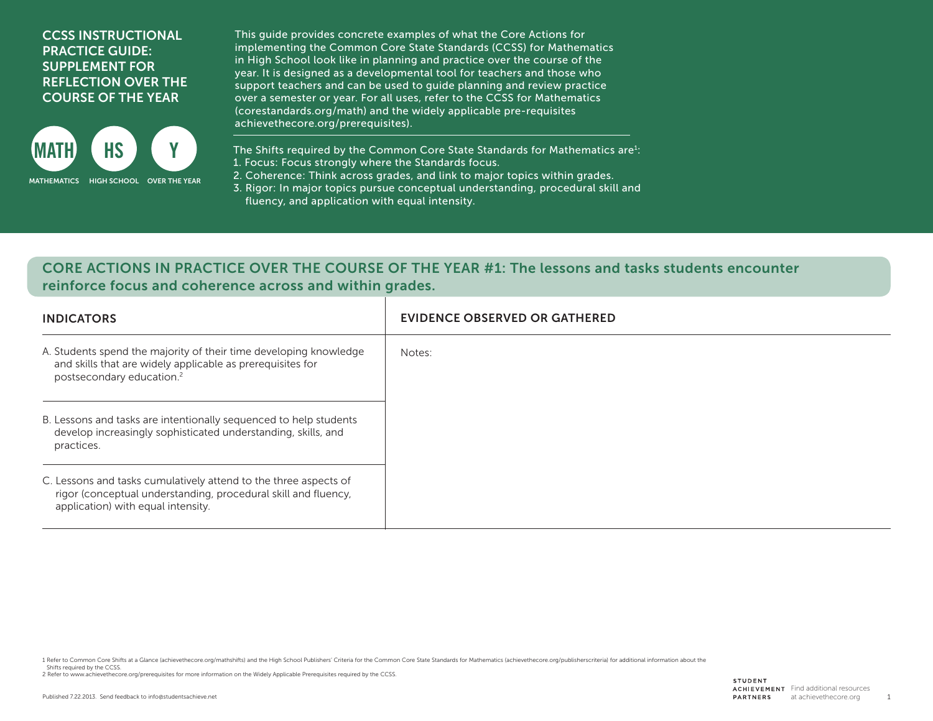## CCSS INSTRUCTIONAL PRACTICE GUIDE: SUPPLEMENT FOR REFLECTION OVER THE COURSE OF THE YEAR



This guide provides concrete examples of what the Core Actions for implementing the Common Core State Standards (CCSS) for Mathematics in High School look like in planning and practice over the course of the year. It is designed as a developmental tool for teachers and those who support teachers and can be used to guide planning and review practice over a semester or year. For all uses, refer to the CCSS for Mathematics (corestandards.org/math) and the widely applicable pre-requisites achievethecore.org/prerequisites).

The Shifts required by the Common Core State Standards for Mathematics are $i$ : 1. Focus: Focus strongly where the Standards focus.

2. Coherence: Think across grades, and link to major topics within grades.

3. Rigor: In major topics pursue conceptual understanding, procedural skill and fluency, and application with equal intensity.

## CORE ACTIONS IN PRACTICE OVER THE COURSE OF THE YEAR #1: The lessons and tasks students encounter reinforce focus and coherence across and within grades.

| <b>INDICATORS</b>                                                                                                                                                        | EVIDENCE OBSERVED OR GATHERED |
|--------------------------------------------------------------------------------------------------------------------------------------------------------------------------|-------------------------------|
| A. Students spend the majority of their time developing knowledge<br>and skills that are widely applicable as prerequisites for<br>postsecondary education. <sup>2</sup> | Notes:                        |
| B. Lessons and tasks are intentionally sequenced to help students<br>develop increasingly sophisticated understanding, skills, and<br>practices.                         |                               |
| C. Lessons and tasks cumulatively attend to the three aspects of<br>rigor (conceptual understanding, procedural skill and fluency,<br>application) with equal intensity. |                               |

1 Refer to Common Core Shifts at a Glance (achievethecore.org/mathshifts) and the High School Publishers' Criteria for the Common Core State Standards for Mathematics (achievethecore.org/publisherscriteria) for additional

Shifts required by the CCSS.

2 Refer to www.achievethecore.org/prerequisites for more information on the Widely Applicable Prerequisites required by the CCSS.